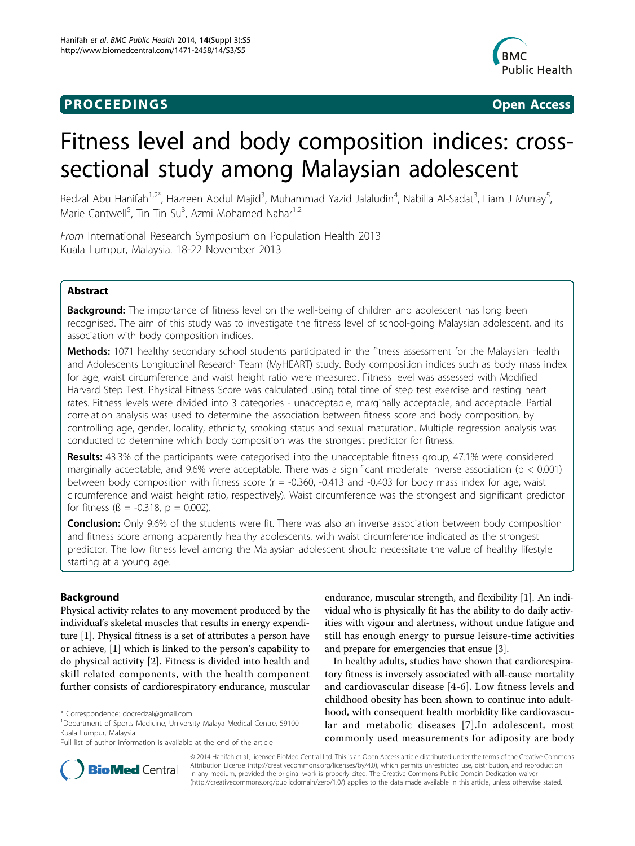# **PROCEEDINGS STATES CONSUMING S** Open Access



# Fitness level and body composition indices: crosssectional study among Malaysian adolescent

Redzal Abu Hanifah<sup>1,2\*</sup>, Hazreen Abdul Majid<sup>3</sup>, Muhammad Yazid Jalaludin<sup>4</sup>, Nabilla Al-Sadat<sup>3</sup>, Liam J Murray<sup>5</sup> , Marie Cantwell<sup>5</sup>, Tin Tin Su<sup>3</sup>, Azmi Mohamed Nahar<sup>1,2</sup>

From International Research Symposium on Population Health 2013 Kuala Lumpur, Malaysia. 18-22 November 2013

## Abstract

**Background:** The importance of fitness level on the well-being of children and adolescent has long been recognised. The aim of this study was to investigate the fitness level of school-going Malaysian adolescent, and its association with body composition indices.

Methods: 1071 healthy secondary school students participated in the fitness assessment for the Malaysian Health and Adolescents Longitudinal Research Team (MyHEART) study. Body composition indices such as body mass index for age, waist circumference and waist height ratio were measured. Fitness level was assessed with Modified Harvard Step Test. Physical Fitness Score was calculated using total time of step test exercise and resting heart rates. Fitness levels were divided into 3 categories - unacceptable, marginally acceptable, and acceptable. Partial correlation analysis was used to determine the association between fitness score and body composition, by controlling age, gender, locality, ethnicity, smoking status and sexual maturation. Multiple regression analysis was conducted to determine which body composition was the strongest predictor for fitness.

Results: 43.3% of the participants were categorised into the unacceptable fitness group, 47.1% were considered marginally acceptable, and 9.6% were acceptable. There was a significant moderate inverse association ( $p < 0.001$ ) between body composition with fitness score (r = -0.360, -0.413 and -0.403 for body mass index for age, waist circumference and waist height ratio, respectively). Waist circumference was the strongest and significant predictor for fitness ( $\beta$  = -0.318,  $p$  = 0.002).

**Conclusion:** Only 9.6% of the students were fit. There was also an inverse association between body composition and fitness score among apparently healthy adolescents, with waist circumference indicated as the strongest predictor. The low fitness level among the Malaysian adolescent should necessitate the value of healthy lifestyle starting at a young age.

## Background

Physical activity relates to any movement produced by the individual's skeletal muscles that results in energy expenditure [[1\]](#page-4-0). Physical fitness is a set of attributes a person have or achieve, [[1](#page-4-0)] which is linked to the person's capability to do physical activity [\[2](#page-4-0)]. Fitness is divided into health and skill related components, with the health component further consists of cardiorespiratory endurance, muscular

endurance, muscular strength, and flexibility [\[1](#page-4-0)]. An individual who is physically fit has the ability to do daily activities with vigour and alertness, without undue fatigue and still has enough energy to pursue leisure-time activities and prepare for emergencies that ensue [\[3](#page-4-0)].

In healthy adults, studies have shown that cardiorespiratory fitness is inversely associated with all-cause mortality and cardiovascular disease [[4](#page-4-0)-[6](#page-4-0)]. Low fitness levels and childhood obesity has been shown to continue into adulthood, with consequent health morbidity like cardiovascular and metabolic diseases [\[7\]](#page-5-0).In adolescent, most commonly used measurements for adiposity are body



© 2014 Hanifah et al.; licensee BioMed Central Ltd. This is an Open Access article distributed under the terms of the Creative Commons Attribution License [\(http://creativecommons.org/licenses/by/4.0](http://creativecommons.org/licenses/by/4.0)), which permits unrestricted use, distribution, and reproduction in any medium, provided the original work is properly cited. The Creative Commons Public Domain Dedication waiver [\(http://creativecommons.org/publicdomain/zero/1.0/](http://�creativecommons.org/publicdomain/zero/1.0/)) applies to the data made available in this article, unless otherwise stated.

<sup>\*</sup> Correspondence: [docredzal@gmail.com](mailto:docredzal@gmail.com)

<sup>&</sup>lt;sup>1</sup>Department of Sports Medicine, University Malaya Medical Centre, 59100 Kuala Lumpur, Malaysia

Full list of author information is available at the end of the article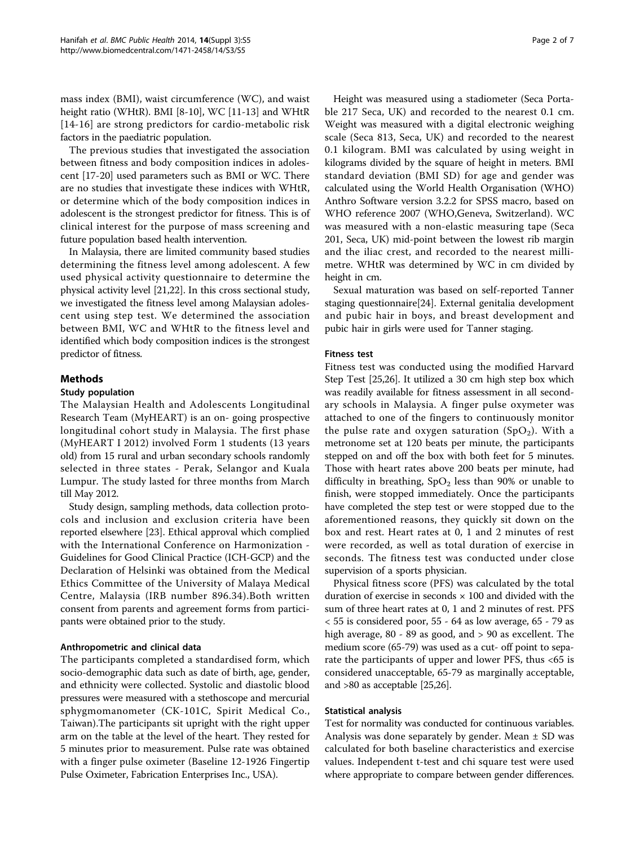mass index (BMI), waist circumference (WC), and waist height ratio (WHtR). BMI [\[8](#page-5-0)-[10\]](#page-5-0), WC [\[11-13](#page-5-0)] and WHtR [[14](#page-5-0)-[16](#page-5-0)] are strong predictors for cardio-metabolic risk factors in the paediatric population.

The previous studies that investigated the association between fitness and body composition indices in adolescent [\[17-20](#page-5-0)] used parameters such as BMI or WC. There are no studies that investigate these indices with WHtR, or determine which of the body composition indices in adolescent is the strongest predictor for fitness. This is of clinical interest for the purpose of mass screening and future population based health intervention.

In Malaysia, there are limited community based studies determining the fitness level among adolescent. A few used physical activity questionnaire to determine the physical activity level [\[21,22\]](#page-5-0). In this cross sectional study, we investigated the fitness level among Malaysian adolescent using step test. We determined the association between BMI, WC and WHtR to the fitness level and identified which body composition indices is the strongest predictor of fitness.

## Methods

#### Study population

The Malaysian Health and Adolescents Longitudinal Research Team (MyHEART) is an on- going prospective longitudinal cohort study in Malaysia. The first phase (MyHEART I 2012) involved Form 1 students (13 years old) from 15 rural and urban secondary schools randomly selected in three states - Perak, Selangor and Kuala Lumpur. The study lasted for three months from March till May 2012.

Study design, sampling methods, data collection protocols and inclusion and exclusion criteria have been reported elsewhere [[23](#page-5-0)]. Ethical approval which complied with the International Conference on Harmonization - Guidelines for Good Clinical Practice (ICH-GCP) and the Declaration of Helsinki was obtained from the Medical Ethics Committee of the University of Malaya Medical Centre, Malaysia (IRB number 896.34).Both written consent from parents and agreement forms from participants were obtained prior to the study.

## Anthropometric and clinical data

The participants completed a standardised form, which socio-demographic data such as date of birth, age, gender, and ethnicity were collected. Systolic and diastolic blood pressures were measured with a stethoscope and mercurial sphygmomanometer (CK-101C, Spirit Medical Co., Taiwan).The participants sit upright with the right upper arm on the table at the level of the heart. They rested for 5 minutes prior to measurement. Pulse rate was obtained with a finger pulse oximeter (Baseline 12-1926 Fingertip Pulse Oximeter, Fabrication Enterprises Inc., USA).

Height was measured using a stadiometer (Seca Portable 217 Seca, UK) and recorded to the nearest 0.1 cm. Weight was measured with a digital electronic weighing scale (Seca 813, Seca, UK) and recorded to the nearest 0.1 kilogram. BMI was calculated by using weight in kilograms divided by the square of height in meters. BMI standard deviation (BMI SD) for age and gender was calculated using the World Health Organisation (WHO) Anthro Software version 3.2.2 for SPSS macro, based on WHO reference 2007 (WHO,Geneva, Switzerland). WC was measured with a non-elastic measuring tape (Seca 201, Seca, UK) mid-point between the lowest rib margin and the iliac crest, and recorded to the nearest millimetre. WHtR was determined by WC in cm divided by height in cm.

Sexual maturation was based on self-reported Tanner staging questionnaire[\[24](#page-5-0)]. External genitalia development and pubic hair in boys, and breast development and pubic hair in girls were used for Tanner staging.

#### Fitness test

Fitness test was conducted using the modified Harvard Step Test [\[25,26](#page-5-0)]. It utilized a 30 cm high step box which was readily available for fitness assessment in all secondary schools in Malaysia. A finger pulse oxymeter was attached to one of the fingers to continuously monitor the pulse rate and oxygen saturation  $(SpO<sub>2</sub>)$ . With a metronome set at 120 beats per minute, the participants stepped on and off the box with both feet for 5 minutes. Those with heart rates above 200 beats per minute, had difficulty in breathing,  $SpO<sub>2</sub>$  less than 90% or unable to finish, were stopped immediately. Once the participants have completed the step test or were stopped due to the aforementioned reasons, they quickly sit down on the box and rest. Heart rates at 0, 1 and 2 minutes of rest were recorded, as well as total duration of exercise in seconds. The fitness test was conducted under close supervision of a sports physician.

Physical fitness score (PFS) was calculated by the total duration of exercise in seconds  $\times$  100 and divided with the sum of three heart rates at 0, 1 and 2 minutes of rest. PFS < 55 is considered poor, 55 - 64 as low average, 65 - 79 as high average, 80 - 89 as good, and > 90 as excellent. The medium score (65-79) was used as a cut- off point to separate the participants of upper and lower PFS, thus <65 is considered unacceptable, 65-79 as marginally acceptable, and >80 as acceptable [\[25,26](#page-5-0)].

## Statistical analysis

Test for normality was conducted for continuous variables. Analysis was done separately by gender. Mean  $\pm$  SD was calculated for both baseline characteristics and exercise values. Independent t-test and chi square test were used where appropriate to compare between gender differences.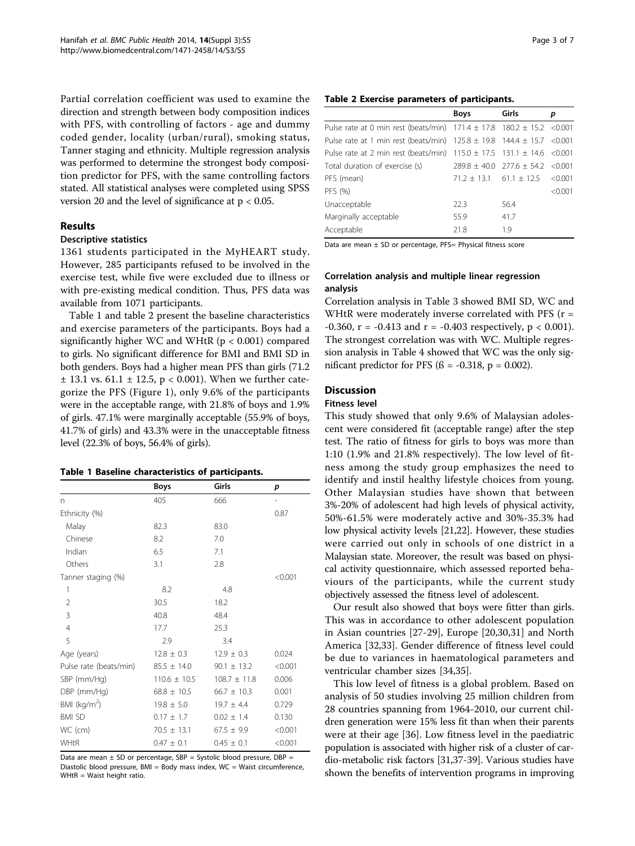Partial correlation coefficient was used to examine the direction and strength between body composition indices with PFS, with controlling of factors - age and dummy coded gender, locality (urban/rural), smoking status, Tanner staging and ethnicity. Multiple regression analysis was performed to determine the strongest body composition predictor for PFS, with the same controlling factors stated. All statistical analyses were completed using SPSS version 20 and the level of significance at  $p < 0.05$ .

#### Results

## Descriptive statistics

1361 students participated in the MyHEART study. However, 285 participants refused to be involved in the exercise test, while five were excluded due to illness or with pre-existing medical condition. Thus, PFS data was available from 1071 participants.

Table 1 and table 2 present the baseline characteristics and exercise parameters of the participants. Boys had a significantly higher WC and WHtR (p < 0.001) compared to girls. No significant difference for BMI and BMI SD in both genders. Boys had a higher mean PFS than girls (71.2  $\pm$  13.1 vs. 61.1  $\pm$  12.5, p < 0.001). When we further categorize the PFS (Figure [1\)](#page-3-0), only 9.6% of the participants were in the acceptable range, with 21.8% of boys and 1.9% of girls. 47.1% were marginally acceptable (55.9% of boys, 41.7% of girls) and 43.3% were in the unacceptable fitness level (22.3% of boys, 56.4% of girls).

#### Table 1 Baseline characteristics of participants.

|                        | <b>Boys</b>      | Girls            | p       |
|------------------------|------------------|------------------|---------|
| n                      | 405              | 666              |         |
| Ethnicity (%)          |                  |                  | 0.87    |
| Malay                  | 82.3             | 83.0             |         |
| Chinese                | 8.2              | 7.0              |         |
| Indian                 | 6.5              | 7.1              |         |
| Others                 | 3.1              | 2.8              |         |
| Tanner staging (%)     |                  |                  | < 0.001 |
| 1                      | 8.2              | 4.8              |         |
| $\overline{2}$         | 30.5             | 18.2             |         |
| 3                      | 40.8             | 48.4             |         |
| $\overline{4}$         | 17.7             | 25.3             |         |
| 5                      | 2.9              | 3.4              |         |
| Age (years)            | $12.8 \pm 0.3$   | $12.9 \pm 0.3$   | 0.024   |
| Pulse rate (beats/min) | $85.5 \pm 14.0$  | $90.1 \pm 13.2$  | < 0.001 |
| SBP (mm/Hg)            | $110.6 \pm 10.5$ | $108.7 \pm 11.8$ | 0.006   |
| DBP (mm/Hg)            | $68.8 \pm 10.5$  | $66.7 \pm 10.3$  | 0.001   |
| BMI ( $kg/m2$ )        | $19.8 \pm 5.0$   | $19.7 \pm 4.4$   | 0.729   |
| <b>BMI SD</b>          | $0.17 \pm 1.7$   | $0.02 \pm 1.4$   | 0.130   |
| WC (cm)                | $70.5 \pm 13.1$  | $67.5 \pm 9.9$   | < 0.001 |
| WHtR                   | $0.47 \pm 0.1$   | $0.45 \pm 0.1$   | < 0.001 |

Data are mean  $\pm$  SD or percentage, SBP = Systolic blood pressure, DBP = Diastolic blood pressure, BMI = Body mass index, WC = Waist circumference, WHtR = Waist height ratio.

|  |  |  |  |  | Table 2 Exercise parameters of participants. |
|--|--|--|--|--|----------------------------------------------|
|--|--|--|--|--|----------------------------------------------|

|                                                                                | <b>Boys</b>                     | Girls                                | р       |
|--------------------------------------------------------------------------------|---------------------------------|--------------------------------------|---------|
| Pulse rate at 0 min rest (beats/min) $171.4 \pm 17.8$ 180.2 $\pm$ 15.2 < 0.001 |                                 |                                      |         |
| Pulse rate at 1 min rest (beats/min) $125.8 \pm 19.8$ 144.4 $\pm$ 15.7 < 0.001 |                                 |                                      |         |
| Pulse rate at 2 min rest (beats/min) $115.0 \pm 17.5$ 131.1 $\pm$ 14.6 < 0.001 |                                 |                                      |         |
| Total duration of exercise (s)                                                 |                                 | $289.8 + 40.0$ $277.6 + 54.2$ <0.001 |         |
| PFS (mean)                                                                     | $71.2 \pm 13.1$ 61.1 $\pm$ 12.5 |                                      | < 0.001 |
| PFS (%)                                                                        |                                 |                                      | < 0.001 |
| Unacceptable                                                                   | 22.3                            | 56.4                                 |         |
| Marginally acceptable                                                          | 55.9                            | 41.7                                 |         |
| Acceptable                                                                     | 21.8                            | 19                                   |         |

Data are mean ± SD or percentage, PFS= Physical fitness score

## Correlation analysis and multiple linear regression analysis

Correlation analysis in Table [3](#page-3-0) showed BMI SD, WC and WHtR were moderately inverse correlated with PFS (r =  $-0.360$ , r =  $-0.413$  and r =  $-0.403$  respectively, p < 0.001). The strongest correlation was with WC. Multiple regression analysis in Table [4](#page-3-0) showed that WC was the only significant predictor for PFS ( $\beta$  = -0.318, p = 0.002).

## **Discussion**

#### Fitness level

This study showed that only 9.6% of Malaysian adolescent were considered fit (acceptable range) after the step test. The ratio of fitness for girls to boys was more than 1:10 (1.9% and 21.8% respectively). The low level of fitness among the study group emphasizes the need to identify and instil healthy lifestyle choices from young. Other Malaysian studies have shown that between 3%-20% of adolescent had high levels of physical activity, 50%-61.5% were moderately active and 30%-35.3% had low physical activity levels [[21,22\]](#page-5-0). However, these studies were carried out only in schools of one district in a Malaysian state. Moreover, the result was based on physical activity questionnaire, which assessed reported behaviours of the participants, while the current study objectively assessed the fitness level of adolescent.

Our result also showed that boys were fitter than girls. This was in accordance to other adolescent population in Asian countries [\[27-29](#page-5-0)], Europe [[20,30,31\]](#page-5-0) and North America [[32,33\]](#page-5-0). Gender difference of fitness level could be due to variances in haematological parameters and ventricular chamber sizes [\[34,35](#page-5-0)].

This low level of fitness is a global problem. Based on analysis of 50 studies involving 25 million children from 28 countries spanning from 1964-2010, our current children generation were 15% less fit than when their parents were at their age [\[36](#page-5-0)]. Low fitness level in the paediatric population is associated with higher risk of a cluster of cardio-metabolic risk factors [\[31,37-39\]](#page-5-0). Various studies have shown the benefits of intervention programs in improving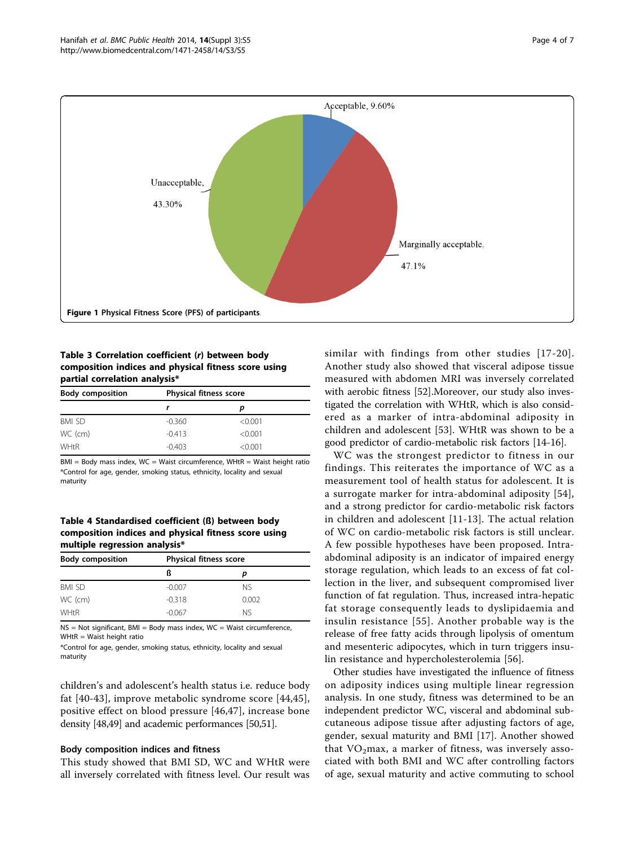<span id="page-3-0"></span>

## Table 3 Correlation coefficient (r) between body composition indices and physical fitness score using partial correlation analysis\*

| <b>Body composition</b> | <b>Physical fitness score</b> |         |  |
|-------------------------|-------------------------------|---------|--|
|                         |                               | р       |  |
| <b>BMI SD</b>           | $-0.360$                      | < 0.001 |  |
| WC (cm)                 | $-0.413$                      | < 0.001 |  |
| <b>WHtR</b>             | $-0.403$                      | < 0.001 |  |

 $BMI = Body$  mass index,  $WC = Wait$  circumference,  $WHtR = Wait$  height ratio \*Control for age, gender, smoking status, ethnicity, locality and sexual maturity

#### Table 4 Standardised coefficient (ß) between body composition indices and physical fitness score using multiple regression analysis\*

| <b>Body composition</b> | <b>Physical fitness score</b> |           |  |
|-------------------------|-------------------------------|-----------|--|
|                         | ß                             |           |  |
| BMI SD                  | $-0.007$                      | <b>NS</b> |  |
| WC (cm)                 | $-0.318$                      | 0.002     |  |
| <b>WHtR</b>             | $-0.067$                      | Nς        |  |

NS = Not significant, BMI = Body mass index, WC = Waist circumference,  $WHtR = Wait$  height ratio

\*Control for age, gender, smoking status, ethnicity, locality and sexual maturity

children's and adolescent's health status i.e. reduce body fat [[40](#page-5-0)-[43](#page-5-0)], improve metabolic syndrome score [\[44,45](#page-5-0)], positive effect on blood pressure [\[46](#page-5-0),[47\]](#page-6-0), increase bone density [\[48,49\]](#page-6-0) and academic performances [[50,51\]](#page-6-0).

#### Body composition indices and fitness

This study showed that BMI SD, WC and WHtR were all inversely correlated with fitness level. Our result was similar with findings from other studies [[17](#page-5-0)-[20\]](#page-5-0). Another study also showed that visceral adipose tissue measured with abdomen MRI was inversely correlated with aerobic fitness [[52](#page-6-0)].Moreover, our study also investigated the correlation with WHtR, which is also considered as a marker of intra-abdominal adiposity in children and adolescent [\[53](#page-6-0)]. WHtR was shown to be a good predictor of cardio-metabolic risk factors [\[14-16](#page-5-0)].

WC was the strongest predictor to fitness in our findings. This reiterates the importance of WC as a measurement tool of health status for adolescent. It is a surrogate marker for intra-abdominal adiposity [[54](#page-6-0)], and a strong predictor for cardio-metabolic risk factors in children and adolescent [[11-13\]](#page-5-0). The actual relation of WC on cardio-metabolic risk factors is still unclear. A few possible hypotheses have been proposed. Intraabdominal adiposity is an indicator of impaired energy storage regulation, which leads to an excess of fat collection in the liver, and subsequent compromised liver function of fat regulation. Thus, increased intra-hepatic fat storage consequently leads to dyslipidaemia and insulin resistance [[55\]](#page-6-0). Another probable way is the release of free fatty acids through lipolysis of omentum and mesenteric adipocytes, which in turn triggers insulin resistance and hypercholesterolemia [\[56](#page-6-0)].

Other studies have investigated the influence of fitness on adiposity indices using multiple linear regression analysis. In one study, fitness was determined to be an independent predictor WC, visceral and abdominal subcutaneous adipose tissue after adjusting factors of age, gender, sexual maturity and BMI [[17\]](#page-5-0). Another showed that  $VO<sub>2</sub>max$ , a marker of fitness, was inversely associated with both BMI and WC after controlling factors of age, sexual maturity and active commuting to school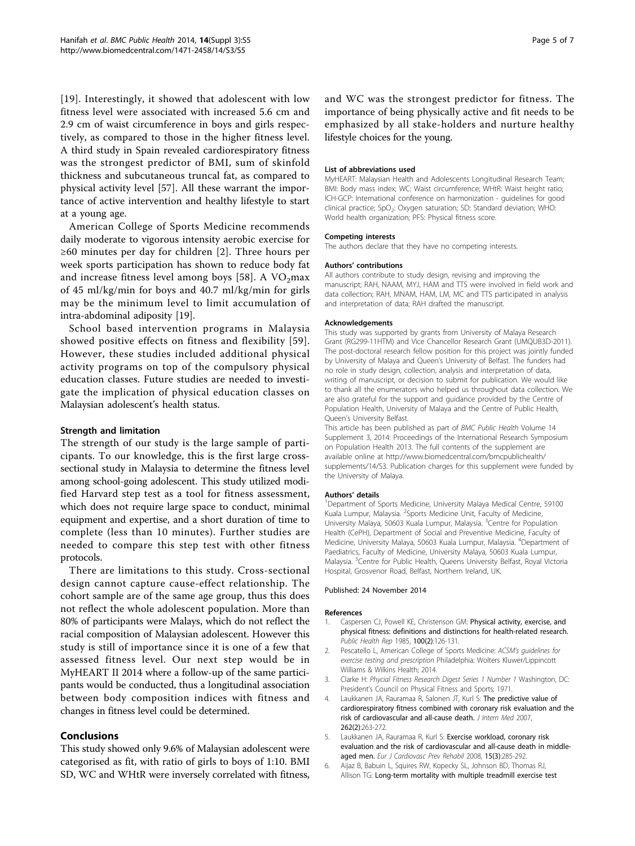<span id="page-4-0"></span>[[19](#page-5-0)]. Interestingly, it showed that adolescent with low fitness level were associated with increased 5.6 cm and 2.9 cm of waist circumference in boys and girls respectively, as compared to those in the higher fitness level. A third study in Spain revealed cardiorespiratory fitness was the strongest predictor of BMI, sum of skinfold thickness and subcutaneous truncal fat, as compared to physical activity level [\[57](#page-6-0)]. All these warrant the importance of active intervention and healthy lifestyle to start at a young age.

American College of Sports Medicine recommends daily moderate to vigorous intensity aerobic exercise for ≥60 minutes per day for children [2]. Three hours per week sports participation has shown to reduce body fat and increase fitness level among boys [[58\]](#page-6-0). A  $VO<sub>2</sub>max$ of 45 ml/kg/min for boys and 40.7 ml/kg/min for girls may be the minimum level to limit accumulation of intra-abdominal adiposity [[19\]](#page-5-0).

School based intervention programs in Malaysia showed positive effects on fitness and flexibility [[59\]](#page-6-0). However, these studies included additional physical activity programs on top of the compulsory physical education classes. Future studies are needed to investigate the implication of physical education classes on Malaysian adolescent's health status.

#### Strength and limitation

The strength of our study is the large sample of participants. To our knowledge, this is the first large crosssectional study in Malaysia to determine the fitness level among school-going adolescent. This study utilized modified Harvard step test as a tool for fitness assessment, which does not require large space to conduct, minimal equipment and expertise, and a short duration of time to complete (less than 10 minutes). Further studies are needed to compare this step test with other fitness protocols.

There are limitations to this study. Cross-sectional design cannot capture cause-effect relationship. The cohort sample are of the same age group, thus this does not reflect the whole adolescent population. More than 80% of participants were Malays, which do not reflect the racial composition of Malaysian adolescent. However this study is still of importance since it is one of a few that assessed fitness level. Our next step would be in MyHEART II 2014 where a follow-up of the same participants would be conducted, thus a longitudinal association between body composition indices with fitness and changes in fitness level could be determined.

## Conclusions

This study showed only 9.6% of Malaysian adolescent were categorised as fit, with ratio of girls to boys of 1:10. BMI SD, WC and WHtR were inversely correlated with fitness, and WC was the strongest predictor for fitness. The importance of being physically active and fit needs to be emphasized by all stake-holders and nurture healthy lifestyle choices for the young.

#### List of abbreviations used

MyHEART: Malaysian Health and Adolescents Longitudinal Research Team; BMI: Body mass index; WC: Waist circumference; WHtR: Waist height ratio; ICH-GCP: International conference on harmonization - guidelines for good clinical practice; SpO<sub>2</sub>: Oxygen saturation; SD: Standard deviation; WHO: World health organization; PFS: Physical fitness score.

#### Competing interests

The authors declare that they have no competing interests.

#### Authors' contributions

All authors contribute to study design, revising and improving the manuscript; RAH, NAAM, MYJ, HAM and TTS were involved in field work and data collection; RAH, MNAM, HAM, LM, MC and TTS participated in analysis and interpretation of data; RAH drafted the manuscript.

#### Acknowledgements

This study was supported by grants from University of Malaya Research Grant (RG299-11HTM) and Vice Chancellor Research Grant (UMQUB3D-2011). The post-doctoral research fellow position for this project was jointly funded by University of Malaya and Queen's University of Belfast. The funders had no role in study design, collection, analysis and interpretation of data, writing of manuscript, or decision to submit for publication. We would like to thank all the enumerators who helped us throughout data collection. We are also grateful for the support and guidance provided by the Centre of Population Health, University of Malaya and the Centre of Public Health, Queen's University Belfast.

This article has been published as part of BMC Public Health Volume 14 Supplement 3, 2014: Proceedings of the International Research Symposium on Population Health 2013. The full contents of the supplement are available online at [http://www.biomedcentral.com/bmcpublichealth/](http://www.biomedcentral.com/bmcpublichealth/supplements/14/S3) [supplements/14/S3.](http://www.biomedcentral.com/bmcpublichealth/supplements/14/S3) Publication charges for this supplement were funded by the University of Malaya.

#### Authors' details <sup>1</sup>

<sup>1</sup>Department of Sports Medicine, University Malaya Medical Centre, 59100 Kuala Lumpur, Malaysia. <sup>2</sup>Sports Medicine Unit, Faculty of Medicine University Malaya, 50603 Kuala Lumpur, Malaysia. <sup>3</sup>Centre for Population Health (CePH), Department of Social and Preventive Medicine, Faculty of Medicine, University Malaya, 50603 Kuala Lumpur, Malaysia. <sup>4</sup>Department of Paediatrics, Faculty of Medicine, University Malaya, 50603 Kuala Lumpur, Malaysia. <sup>5</sup>Centre for Public Health, Queens University Belfast, Royal Victoria Hospital, Grosvenor Road, Belfast, Northern Ireland, UK.

#### Published: 24 November 2014

#### References

- 1. Caspersen CJ, Powell KE, Christenson GM: [Physical activity, exercise, and](http://www.ncbi.nlm.nih.gov/pubmed/3920711?dopt=Abstract) [physical fitness: definitions and distinctions for health-related research.](http://www.ncbi.nlm.nih.gov/pubmed/3920711?dopt=Abstract) Public Health Rep 1985, 100(2):126-131.
- 2. Pescatello L, American College of Sports Medicine: ACSM's guidelines for exercise testing and prescription Philadelphia: Wolters Kluwer/Lippincott Williams & Wilkins Health; 2014.
- 3. Clarke H: Phycial Fitness Research Digest Series 1 Number 1 Washington, DC: President's Council on Physical Fitness and Sports; 1971.
- Laukkanen JA, Rauramaa R, Salonen JT, Kurl S: [The predictive value of](http://www.ncbi.nlm.nih.gov/pubmed/17645594?dopt=Abstract) [cardiorespiratory fitness combined with coronary risk evaluation and the](http://www.ncbi.nlm.nih.gov/pubmed/17645594?dopt=Abstract) [risk of cardiovascular and all-cause death.](http://www.ncbi.nlm.nih.gov/pubmed/17645594?dopt=Abstract) J Intern Med 2007, 262(2):263-272.
- 5. Laukkanen JA, Rauramaa R, Kurl S: [Exercise workload, coronary risk](http://www.ncbi.nlm.nih.gov/pubmed/18525382?dopt=Abstract) [evaluation and the risk of cardiovascular and all-cause death in middle](http://www.ncbi.nlm.nih.gov/pubmed/18525382?dopt=Abstract)[aged men.](http://www.ncbi.nlm.nih.gov/pubmed/18525382?dopt=Abstract) Eur J Cardiovasc Prev Rehabil 2008, 15(3):285-292.
- 6. Aijaz B, Babuin L, Squires RW, Kopecky SL, Johnson BD, Thomas RJ, Allison TG: [Long-term mortality with multiple treadmill exercise test](http://www.ncbi.nlm.nih.gov/pubmed/18926161?dopt=Abstract)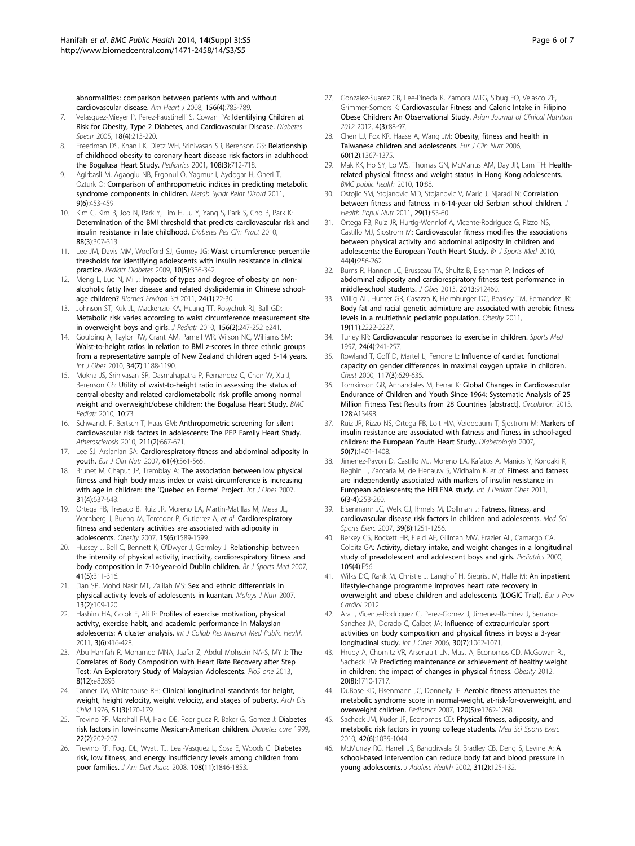<span id="page-5-0"></span>[abnormalities: comparison between patients with and without](http://www.ncbi.nlm.nih.gov/pubmed/18926161?dopt=Abstract) [cardiovascular disease.](http://www.ncbi.nlm.nih.gov/pubmed/18926161?dopt=Abstract) Am Heart J 2008, 156(4):783-789.

- 7. Velasquez-Mieyer P, Perez-Faustinelli S, Cowan PA: Identifying Children at Risk for Obesity, Type 2 Diabetes, and Cardiovascular Disease. Diabetes Spectr 2005, 18(4):213-220.
- Freedman DS, Khan LK, Dietz WH, Srinivasan SR, Berenson GS: [Relationship](http://www.ncbi.nlm.nih.gov/pubmed/11533341?dopt=Abstract) [of childhood obesity to coronary heart disease risk factors in adulthood:](http://www.ncbi.nlm.nih.gov/pubmed/11533341?dopt=Abstract) [the Bogalusa Heart Study.](http://www.ncbi.nlm.nih.gov/pubmed/11533341?dopt=Abstract) Pediatrics 2001, 108(3):712-718.
- Agirbasli M, Agaoglu NB, Ergonul O, Yagmur I, Aydogar H, Oneri T, Ozturk O: [Comparison of anthropometric indices in predicting metabolic](http://www.ncbi.nlm.nih.gov/pubmed/21830913?dopt=Abstract) [syndrome components in children.](http://www.ncbi.nlm.nih.gov/pubmed/21830913?dopt=Abstract) Metab Syndr Relat Disord 2011, 9(6):453-459.
- 10. Kim C, Kim B, Joo N, Park Y, Lim H, Ju Y, Yang S, Park S, Cho B, Park K: [Determination of the BMI threshold that predicts cardiovascular risk and](http://www.ncbi.nlm.nih.gov/pubmed/20223547?dopt=Abstract) [insulin resistance in late childhood.](http://www.ncbi.nlm.nih.gov/pubmed/20223547?dopt=Abstract) Diabetes Res Clin Pract 2010. 88(3):307-313.
- 11. Lee JM, Davis MM, Woolford SJ, Gurney JG: [Waist circumference percentile](http://www.ncbi.nlm.nih.gov/pubmed/19175894?dopt=Abstract) [thresholds for identifying adolescents with insulin resistance in clinical](http://www.ncbi.nlm.nih.gov/pubmed/19175894?dopt=Abstract) [practice.](http://www.ncbi.nlm.nih.gov/pubmed/19175894?dopt=Abstract) Pediatr Diabetes 2009, 10(5):336-342.
- 12. Meng L, Luo N, Mi J: [Impacts of types and degree of obesity on non](http://www.ncbi.nlm.nih.gov/pubmed/21440836?dopt=Abstract)[alcoholic fatty liver disease and related dyslipidemia in Chinese school](http://www.ncbi.nlm.nih.gov/pubmed/21440836?dopt=Abstract)[age children?](http://www.ncbi.nlm.nih.gov/pubmed/21440836?dopt=Abstract) Biomed Environ Sci 2011, 24(1):22-30.
- 13. Johnson ST, Kuk JL, Mackenzie KA, Huang TT, Rosychuk RJ, Ball GD: [Metabolic risk varies according to waist circumference measurement site](http://www.ncbi.nlm.nih.gov/pubmed/19863969?dopt=Abstract) [in overweight boys and girls.](http://www.ncbi.nlm.nih.gov/pubmed/19863969?dopt=Abstract) J Pediatr 2010, 156(2):247-252 e241.
- 14. Goulding A, Taylor RW, Grant AM, Parnell WR, Wilson NC, Williams SM: Waist-to-height ratios in relation to BMI z-scores in three ethnic groups from a representative sample of New Zealand children aged 5-14 years. Int J Obes 2010, 34(7):1188-1190.
- 15. Mokha JS, Srinivasan SR, Dasmahapatra P, Fernandez C, Chen W, Xu J, Berenson GS: [Utility of waist-to-height ratio in assessing the status of](http://www.ncbi.nlm.nih.gov/pubmed/20937123?dopt=Abstract) [central obesity and related cardiometabolic risk profile among normal](http://www.ncbi.nlm.nih.gov/pubmed/20937123?dopt=Abstract) [weight and overweight/obese children: the Bogalusa Heart Study.](http://www.ncbi.nlm.nih.gov/pubmed/20937123?dopt=Abstract) BMC Pediatr 2010, 10:73.
- 16. Schwandt P, Bertsch T, Haas GM: [Anthropometric screening for silent](http://www.ncbi.nlm.nih.gov/pubmed/20417933?dopt=Abstract) [cardiovascular risk factors in adolescents: The PEP Family Heart Study.](http://www.ncbi.nlm.nih.gov/pubmed/20417933?dopt=Abstract) Atherosclerosis 2010, 211(2):667-671.
- 17. Lee SJ, Arslanian SA: [Cardiorespiratory fitness and abdominal adiposity in](http://www.ncbi.nlm.nih.gov/pubmed/17021595?dopt=Abstract) [youth.](http://www.ncbi.nlm.nih.gov/pubmed/17021595?dopt=Abstract) Eur J Clin Nutr 2007, 61(4):561-565.
- 18. Brunet M, Chaput JP, Tremblay A: The association between low physical fitness and high body mass index or waist circumference is increasing with age in children: the 'Quebec en Forme' Project. Int J Obes 2007, 31(4):637-643.
- 19. Ortega FB, Tresaco B, Ruiz JR, Moreno LA, Martin-Matillas M, Mesa JL, Warnberg J, Bueno M, Tercedor P, Gutierrez A, et al: [Cardiorespiratory](http://www.ncbi.nlm.nih.gov/pubmed/17557997?dopt=Abstract) [fitness and sedentary activities are associated with adiposity in](http://www.ncbi.nlm.nih.gov/pubmed/17557997?dopt=Abstract) [adolescents.](http://www.ncbi.nlm.nih.gov/pubmed/17557997?dopt=Abstract) Obesity 2007, 15(6):1589-1599.
- 20. Hussey J, Bell C, Bennett K, O'Dwyer J, Gormley J: [Relationship between](http://www.ncbi.nlm.nih.gov/pubmed/17395610?dopt=Abstract) [the intensity of physical activity, inactivity, cardiorespiratory fitness and](http://www.ncbi.nlm.nih.gov/pubmed/17395610?dopt=Abstract) [body composition in 7-10-year-old Dublin children.](http://www.ncbi.nlm.nih.gov/pubmed/17395610?dopt=Abstract) Br J Sports Med 2007, 41(5):311-316.
- 21. Dan SP, Mohd Nasir MT, Zalilah MS: [Sex and ethnic differentials in](http://www.ncbi.nlm.nih.gov/pubmed/22691749?dopt=Abstract) [physical activity levels of adolescents in kuantan.](http://www.ncbi.nlm.nih.gov/pubmed/22691749?dopt=Abstract) Malays J Nutr 2007, 13(2):109-120.
- 22. Hashim HA, Golok F, Ali R: Profiles of exercise motivation, physical activity, exercise habit, and academic performance in Malaysian adolescents: A cluster analysis. Int J Collab Res Internal Med Public Health 2011, 3(6):416-428.
- 23. Abu Hanifah R, Mohamed MNA, Jaafar Z, Abdul Mohsein NA-S, MY J: [The](http://www.ncbi.nlm.nih.gov/pubmed/24349388?dopt=Abstract) [Correlates of Body Composition with Heart Rate Recovery after Step](http://www.ncbi.nlm.nih.gov/pubmed/24349388?dopt=Abstract) [Test: An Exploratory Study of Malaysian Adolescents.](http://www.ncbi.nlm.nih.gov/pubmed/24349388?dopt=Abstract) PloS one 2013, 8(12):e82893.
- 24. Tanner JM, Whitehouse RH: [Clinical longitudinal standards for height,](http://www.ncbi.nlm.nih.gov/pubmed/952550?dopt=Abstract) [weight, height velocity, weight velocity, and stages of puberty.](http://www.ncbi.nlm.nih.gov/pubmed/952550?dopt=Abstract) Arch Dis Child 1976, 51(3):170-179.
- 25. Trevino RP, Marshall RM, Hale DE, Rodriguez R, Baker G, Gomez J: [Diabetes](http://www.ncbi.nlm.nih.gov/pubmed/10333934?dopt=Abstract) [risk factors in low-income Mexican-American children.](http://www.ncbi.nlm.nih.gov/pubmed/10333934?dopt=Abstract) Diabetes care 1999, 22(2):202-207.
- 26. Trevino RP, Fogt DL, Wyatt TJ, Leal-Vasquez L, Sosa E, Woods C: [Diabetes](http://www.ncbi.nlm.nih.gov/pubmed/18954574?dopt=Abstract) [risk, low fitness, and energy insufficiency levels among children from](http://www.ncbi.nlm.nih.gov/pubmed/18954574?dopt=Abstract) [poor families.](http://www.ncbi.nlm.nih.gov/pubmed/18954574?dopt=Abstract) J Am Diet Assoc 2008, 108(11):1846-1853.
- 27. Gonzalez-Suarez CB, Lee-Pineda K, Zamora MTG, Sibug EO, Velasco ZF, Grimmer-Somers K: Cardiovascular Fitness and Caloric Intake in Filipino Obese Children: An Observational Study. Asian Journal of Clinical Nutrition 2012 2012, 4(3):88-97.
- 28. Chen LJ, Fox KR, Haase A, Wang JM: [Obesity, fitness and health in](http://www.ncbi.nlm.nih.gov/pubmed/16775581?dopt=Abstract) [Taiwanese children and adolescents.](http://www.ncbi.nlm.nih.gov/pubmed/16775581?dopt=Abstract) Eur J Clin Nutr 2006, 60(12):1367-1375.
- 29. Mak KK, Ho SY, Lo WS, Thomas GN, McManus AM, Day JR, Lam TH: [Health](http://www.ncbi.nlm.nih.gov/pubmed/20178615?dopt=Abstract)[related physical fitness and weight status in Hong Kong adolescents.](http://www.ncbi.nlm.nih.gov/pubmed/20178615?dopt=Abstract) BMC public health 2010, 10:88.
- 30. Ostojic SM, Stojanovic MD, Stojanovic V, Maric J, Njaradi N: [Correlation](http://www.ncbi.nlm.nih.gov/pubmed/21528790?dopt=Abstract) [between fitness and fatness in 6-14-year old Serbian school children.](http://www.ncbi.nlm.nih.gov/pubmed/21528790?dopt=Abstract) J Health Popul Nutr 2011, 29(1):53-60.
- 31. Ortega FB, Ruiz JR, Hurtig-Wennlof A, Vicente-Rodriguez G, Rizzo NS, Castillo MJ, Sjostrom M: [Cardiovascular fitness modifies the associations](http://www.ncbi.nlm.nih.gov/pubmed/18463298?dopt=Abstract) [between physical activity and abdominal adiposity in children and](http://www.ncbi.nlm.nih.gov/pubmed/18463298?dopt=Abstract) [adolescents: the European Youth Heart Study.](http://www.ncbi.nlm.nih.gov/pubmed/18463298?dopt=Abstract) Br J Sports Med 2010, 44(4):256-262.
- 32. Burns R, Hannon JC, Brusseau TA, Shultz B, Eisenman P: [Indices of](http://www.ncbi.nlm.nih.gov/pubmed/23533727?dopt=Abstract) [abdominal adiposity and cardiorespiratory fitness test performance in](http://www.ncbi.nlm.nih.gov/pubmed/23533727?dopt=Abstract) [middle-school students.](http://www.ncbi.nlm.nih.gov/pubmed/23533727?dopt=Abstract) J Obes 2013, 2013:912460.
- 33. Willig AL, Hunter GR, Casazza K, Heimburger DC, Beasley TM, Fernandez JR: [Body fat and racial genetic admixture are associated with aerobic fitness](http://www.ncbi.nlm.nih.gov/pubmed/21546928?dopt=Abstract) [levels in a multiethnic pediatric population.](http://www.ncbi.nlm.nih.gov/pubmed/21546928?dopt=Abstract) Obesity 2011, 19(11):2222-2227.
- 34. Turley KR: [Cardiovascular responses to exercise in children.](http://www.ncbi.nlm.nih.gov/pubmed/9339493?dopt=Abstract) Sports Med 1997, 24(4):241-257.
- 35. Rowland T, Goff D, Martel L, Ferrone L: [Influence of cardiac functional](http://www.ncbi.nlm.nih.gov/pubmed/10712984?dopt=Abstract) [capacity on gender differences in maximal oxygen uptake in children.](http://www.ncbi.nlm.nih.gov/pubmed/10712984?dopt=Abstract) Chest 2000, 117(3):629-635.
- 36. Tomkinson GR, Annandales M, Ferrar K: Global Changes in Cardiovascular Endurance of Children and Youth Since 1964: Systematic Analysis of 25 Million Fitness Test Results from 28 Countries [abstract]. Circulation 2013, 128:A13498.
- 37. Ruiz JR, Rizzo NS, Ortega FB, Loit HM, Veidebaum T, Sjostrom M: [Markers of](http://www.ncbi.nlm.nih.gov/pubmed/17492430?dopt=Abstract) [insulin resistance are associated with fatness and fitness in school-aged](http://www.ncbi.nlm.nih.gov/pubmed/17492430?dopt=Abstract) [children: the European Youth Heart Study.](http://www.ncbi.nlm.nih.gov/pubmed/17492430?dopt=Abstract) Diabetologia 2007, 50(7):1401-1408.
- 38. Jimenez-Pavon D, Castillo MJ, Moreno LA, Kafatos A, Manios Y, Kondaki K, Beghin L, Zaccaria M, de Henauw S, Widhalm K, et al: [Fitness and fatness](http://www.ncbi.nlm.nih.gov/pubmed/21623681?dopt=Abstract) [are independently associated with markers of insulin resistance in](http://www.ncbi.nlm.nih.gov/pubmed/21623681?dopt=Abstract) [European adolescents; the HELENA study.](http://www.ncbi.nlm.nih.gov/pubmed/21623681?dopt=Abstract) Int J Pediatr Obes 2011, 6(3-4):253-260.
- 39. Eisenmann JC, Welk GJ, Ihmels M, Dollman J: [Fatness, fitness, and](http://www.ncbi.nlm.nih.gov/pubmed/17762357?dopt=Abstract) [cardiovascular disease risk factors in children and adolescents.](http://www.ncbi.nlm.nih.gov/pubmed/17762357?dopt=Abstract) Med Sci Sports Exerc 2007, 39(8):1251-1256.
- 40. Berkey CS, Rockett HR, Field AE, Gillman MW, Frazier AL, Camargo CA, Colditz GA: [Activity, dietary intake, and weight changes in a longitudinal](http://www.ncbi.nlm.nih.gov/pubmed/10742377?dopt=Abstract) [study of preadolescent and adolescent boys and girls.](http://www.ncbi.nlm.nih.gov/pubmed/10742377?dopt=Abstract) Pediatrics 2000, 105(4):E56.
- 41. Wilks DC, Rank M, Christle J, Langhof H, Siegrist M, Halle M: [An inpatient](http://www.ncbi.nlm.nih.gov/pubmed/23109407?dopt=Abstract) [lifestyle-change programme improves heart rate recovery in](http://www.ncbi.nlm.nih.gov/pubmed/23109407?dopt=Abstract) [overweight and obese children and adolescents \(LOGIC Trial\).](http://www.ncbi.nlm.nih.gov/pubmed/23109407?dopt=Abstract) Eur J Prev Cardiol 2012.
- 42. Ara I, Vicente-Rodriguez G, Perez-Gomez J, Jimenez-Ramirez J, Serrano-Sanchez JA, Dorado C, Calbet JA: Influence of extracurricular sport activities on body composition and physical fitness in boys: a 3-year longitudinal study. Int J Obes 2006, 30(7):1062-1071.
- 43. Hruby A, Chomitz VR, Arsenault LN, Must A, Economos CD, McGowan RJ, Sacheck JM: [Predicting maintenance or achievement of healthy weight](http://www.ncbi.nlm.nih.gov/pubmed/22307068?dopt=Abstract) [in children: the impact of changes in physical fitness.](http://www.ncbi.nlm.nih.gov/pubmed/22307068?dopt=Abstract) Obesity 2012, 20(8):1710-1717.
- 44. DuBose KD, Eisenmann JC, Donnelly JE: [Aerobic fitness attenuates the](http://www.ncbi.nlm.nih.gov/pubmed/17974719?dopt=Abstract) [metabolic syndrome score in normal-weight, at-risk-for-overweight, and](http://www.ncbi.nlm.nih.gov/pubmed/17974719?dopt=Abstract) [overweight children.](http://www.ncbi.nlm.nih.gov/pubmed/17974719?dopt=Abstract) Pediatrics 2007, 120(5):e1262-1268.
- 45. Sacheck JM, Kuder JF, Economos CD: [Physical fitness, adiposity, and](http://www.ncbi.nlm.nih.gov/pubmed/19997014?dopt=Abstract) [metabolic risk factors in young college students.](http://www.ncbi.nlm.nih.gov/pubmed/19997014?dopt=Abstract) Med Sci Sports Exerc 2010, 42(6):1039-1044.
- 46. McMurray RG, Harrell JS, Bangdiwala SI, Bradley CB, Deng S, Levine A: [A](http://www.ncbi.nlm.nih.gov/pubmed/12127382?dopt=Abstract) [school-based intervention can reduce body fat and blood pressure in](http://www.ncbi.nlm.nih.gov/pubmed/12127382?dopt=Abstract) young [adolescents.](http://www.ncbi.nlm.nih.gov/pubmed/12127382?dopt=Abstract) J Adolesc Health 2002, 31(2):125-132.